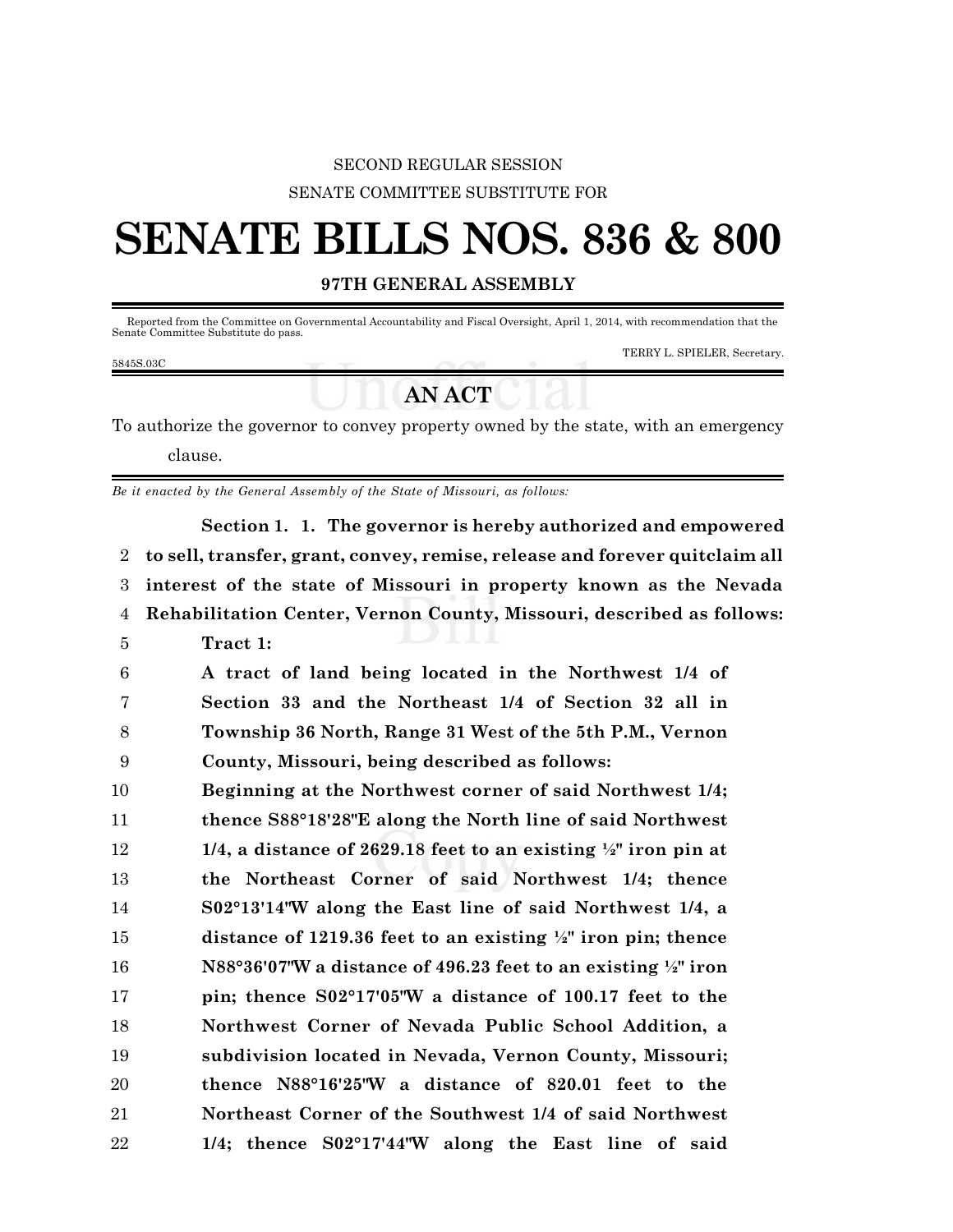## SECOND REGULAR SESSION SENATE COMMITTEE SUBSTITUTE FOR

# **SENATE BILLS NOS. 836 & 800**

## **97TH GENERAL ASSEMBLY**

 Reported from the Committee on Governmental Accountability and Fiscal Oversight, April 1, 2014, with recommendation that the Senate Committee Substitute do pass.

#### 5845S.03C

#### TERRY L. SPIELER, Secretary.

# **AN ACT**

To authorize the governor to convey property owned by the state, with an emergency clause.

*Be it enacted by the General Assembly of the State of Missouri, as follows:*

**Section 1. 1. The governor is hereby authorized and empowered to sell, transfer, grant, convey, remise, release and forever quitclaim all interest of the state of Missouri in property known as the Nevada Rehabilitation Center, Vernon County, Missouri, described as follows: Tract 1: A tract of land being located in the Northwest 1/4 of Section 33 and the Northeast 1/4 of Section 32 all in Township 36 North, Range 31 West of the 5th P.M., Vernon County, Missouri, being described as follows: Beginning at the Northwest corner of said Northwest 1/4; thence S88°18'28"E along the North line of said Northwest 1/4, a distance of 2629.18 feet to an existing ½" iron pin at the Northeast Corner of said Northwest 1/4; thence S02°13'14"W along the East line of said Northwest 1/4, a distance of 1219.36 feet to an existing ½" iron pin; thence N88°36'07"W a distance of 496.23 feet to an existing ½" iron pin; thence S02°17'05"W a distance of 100.17 feet to the Northwest Corner of Nevada Public School Addition, a subdivision located in Nevada, Vernon County, Missouri; thence N88°16'25"W a distance of 820.01 feet to the Northeast Corner of the Southwest 1/4 of said Northwest 1/4; thence S02°17'44"W along the East line of said**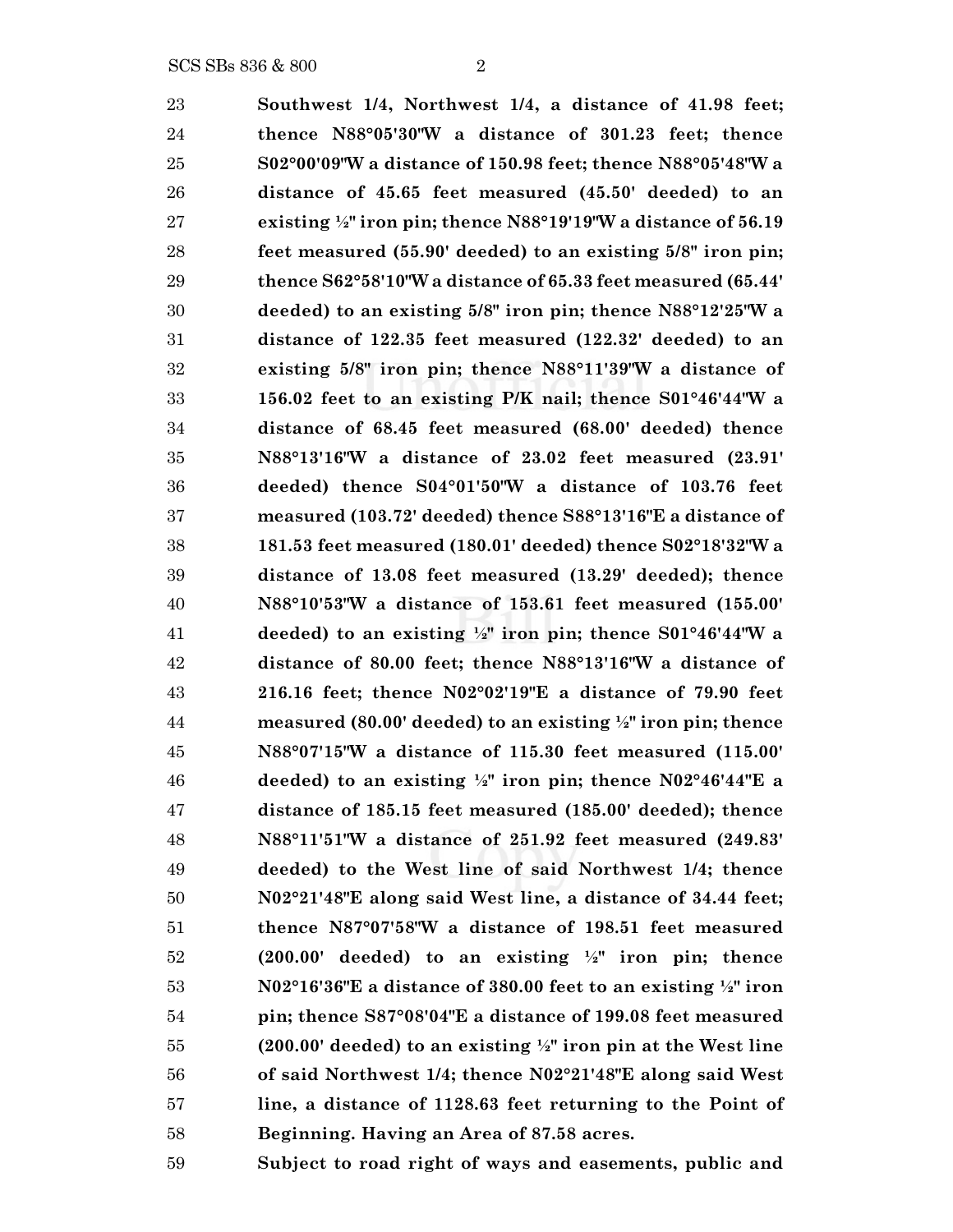**Southwest 1/4, Northwest 1/4, a distance of 41.98 feet; thence N88°05'30"W a distance of 301.23 feet; thence S02°00'09"W a distance of 150.98 feet; thence N88°05'48"W a distance of 45.65 feet measured (45.50' deeded) to an existing ½" iron pin; thence N88°19'19"W a distance of 56.19 feet measured (55.90' deeded) to an existing 5/8" iron pin; thence S62°58'10"W a distance of 65.33 feet measured (65.44' deeded) to an existing 5/8" iron pin; thence N88°12'25"W a distance of 122.35 feet measured (122.32' deeded) to an existing 5/8" iron pin; thence N88°11'39"W a distance of 156.02 feet to an existing P/K nail; thence S01°46'44"W a distance of 68.45 feet measured (68.00' deeded) thence N88°13'16"W a distance of 23.02 feet measured (23.91' deeded) thence S04°01'50"W a distance of 103.76 feet measured (103.72' deeded) thence S88°13'16"E a distance of 181.53 feet measured (180.01' deeded) thence S02°18'32"W a distance of 13.08 feet measured (13.29' deeded); thence N88°10'53"W a distance of 153.61 feet measured (155.00' deeded) to an existing ½" iron pin; thence S01°46'44"W a distance of 80.00 feet; thence N88°13'16"W a distance of 216.16 feet; thence N02°02'19"E a distance of 79.90 feet measured (80.00' deeded) to an existing ½" iron pin; thence N88°07'15"W a distance of 115.30 feet measured (115.00' deeded) to an existing ½" iron pin; thence N02°46'44"E a distance of 185.15 feet measured (185.00' deeded); thence N88°11'51"W a distance of 251.92 feet measured (249.83' deeded) to the West line of said Northwest 1/4; thence N02°21'48"E along said West line, a distance of 34.44 feet; thence N87°07'58"W a distance of 198.51 feet measured (200.00' deeded) to an existing ½" iron pin; thence N02°16'36"E a distance of 380.00 feet to an existing ½" iron pin; thence S87°08'04"E a distance of 199.08 feet measured (200.00' deeded) to an existing ½" iron pin at the West line of said Northwest 1/4; thence N02°21'48"E along said West line, a distance of 1128.63 feet returning to the Point of Beginning. Having an Area of 87.58 acres.**

**Subject to road right of ways and easements, public and**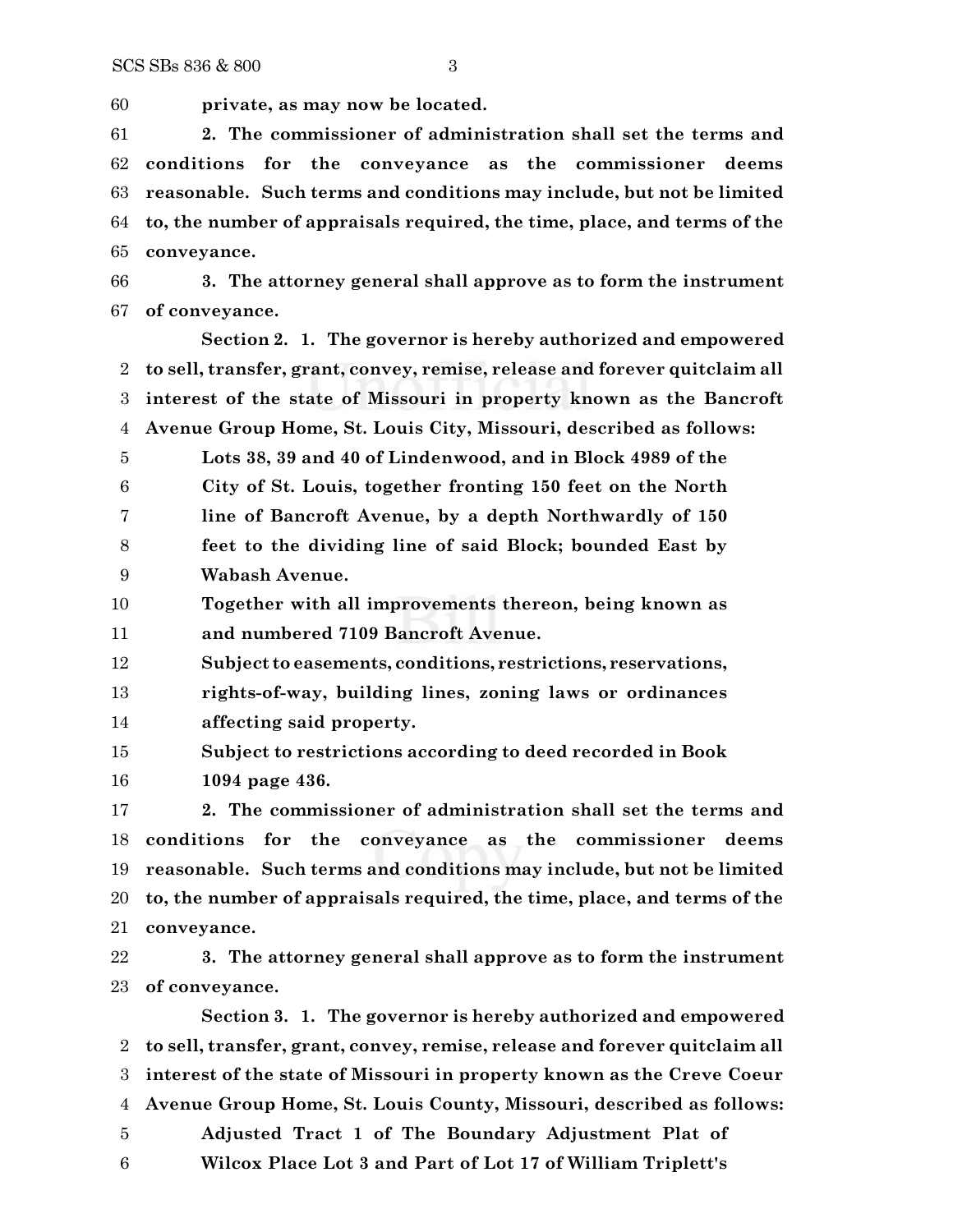**private, as may now be located.**

 **2. The commissioner of administration shall set the terms and conditions for the conveyance as the commissioner deems reasonable. Such terms and conditions may include, but not be limited to, the number of appraisals required, the time, place, and terms of the conveyance.**

 **3. The attorney general shall approve as to form the instrument of conveyance.**

**Section 2. 1. The governor is hereby authorized and empowered to sell, transfer, grant, convey, remise, release and forever quitclaim all interest of the state of Missouri in property known as the Bancroft Avenue Group Home, St. Louis City, Missouri, described as follows:**

 **Lots 38, 39 and 40 of Lindenwood, and in Block 4989 of the City of St. Louis, together fronting 150 feet on the North line of Bancroft Avenue, by a depth Northwardly of 150 feet to the dividing line of said Block; bounded East by Wabash Avenue.**

 **Together with all improvements thereon, being known as and numbered 7109 Bancroft Avenue.**

**Subject to easements, conditions, restrictions, reservations,**

 **rights-of-way, building lines, zoning laws or ordinances affecting said property.**

 **Subject to restrictions according to deed recorded in Book 1094 page 436.**

 **2. The commissioner of administration shall set the terms and conditions for the conveyance as the commissioner deems reasonable. Such terms and conditions may include, but not be limited to, the number of appraisals required, the time, place, and terms of the conveyance.**

 **3. The attorney general shall approve as to form the instrument of conveyance.**

**Section 3. 1. The governor is hereby authorized and empowered to sell, transfer, grant, convey, remise, release and forever quitclaim all interest of the state of Missouri in property known as the Creve Coeur Avenue Group Home, St. Louis County, Missouri, described as follows: Adjusted Tract 1 of The Boundary Adjustment Plat of Wilcox Place Lot 3 and Part of Lot 17 of William Triplett's**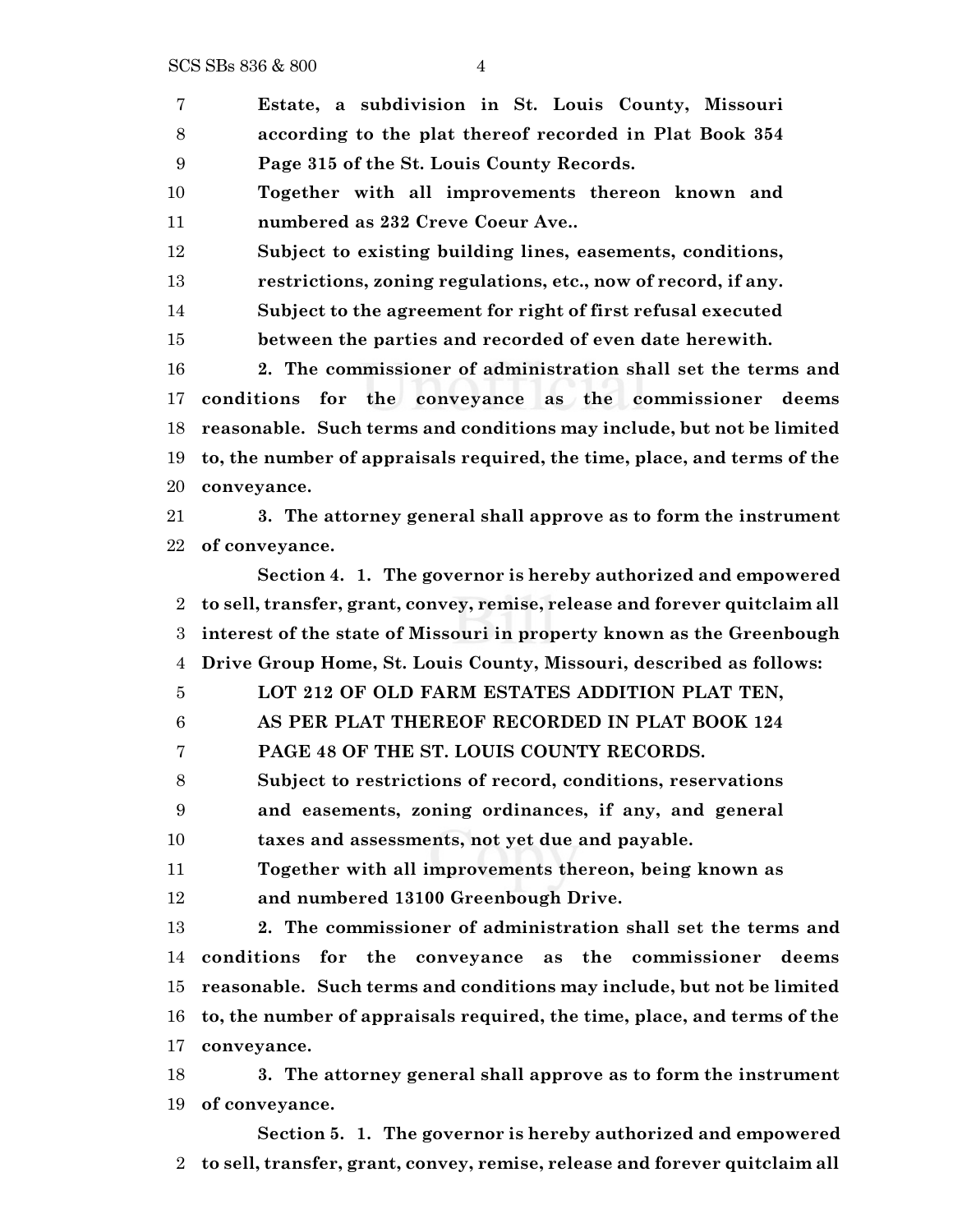SCS SBs 836 & 800 4

 **Estate, a subdivision in St. Louis County, Missouri according to the plat thereof recorded in Plat Book 354 Page 315 of the St. Louis County Records. Together with all improvements thereon known and numbered as 232 Creve Coeur Ave.. Subject to existing building lines, easements, conditions, restrictions, zoning regulations, etc., now of record, if any. Subject to the agreement for right of first refusal executed between the parties and recorded of even date herewith. 2. The commissioner of administration shall set the terms and conditions for the conveyance as the commissioner deems reasonable. Such terms and conditions may include, but not be limited to, the number of appraisals required, the time, place, and terms of the conveyance. 3. The attorney general shall approve as to form the instrument of conveyance. Section 4. 1. The governor is hereby authorized and empowered to sell, transfer, grant, convey, remise, release and forever quitclaim all interest of the state of Missouri in property known as the Greenbough Drive Group Home, St. Louis County, Missouri, described as follows: LOT 212 OF OLD FARM ESTATES ADDITION PLAT TEN, AS PER PLAT THEREOF RECORDED IN PLAT BOOK 124 PAGE 48 OF THE ST. LOUIS COUNTY RECORDS. Subject to restrictions of record, conditions, reservations and easements, zoning ordinances, if any, and general taxes and assessments, not yet due and payable. Together with all improvements thereon, being known as and numbered 13100 Greenbough Drive. 2. The commissioner of administration shall set the terms and conditions for the conveyance as the commissioner deems reasonable. Such terms and conditions may include, but not be limited to, the number of appraisals required, the time, place, and terms of the conveyance. 3. The attorney general shall approve as to form the instrument of conveyance. Section 5. 1. The governor is hereby authorized and empowered to sell, transfer, grant, convey, remise, release and forever quitclaim all**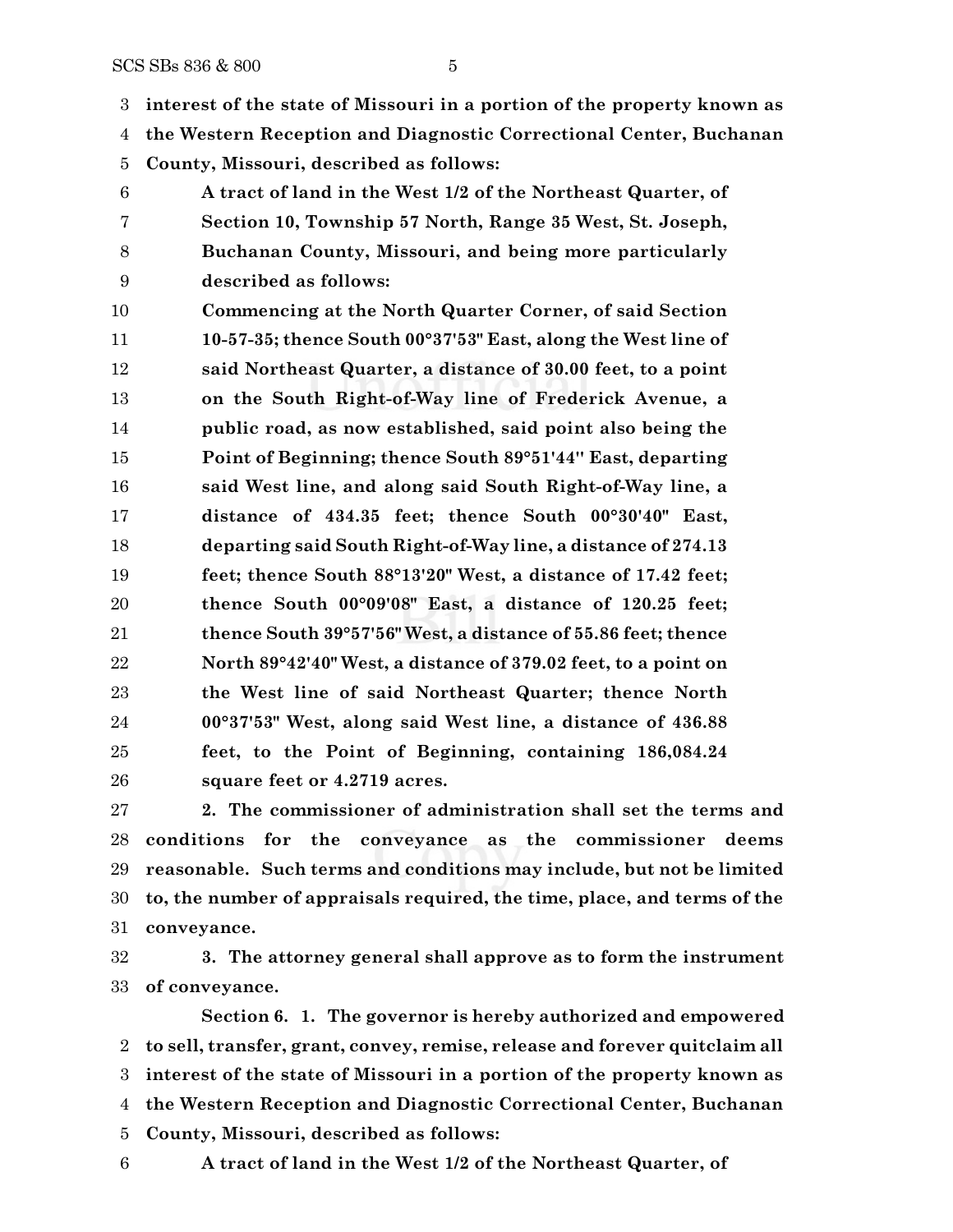**interest of the state of Missouri in a portion of the property known as**

**the Western Reception and Diagnostic Correctional Center, Buchanan**

**County, Missouri, described as follows:**

 **A tract of land in the West 1/2 of the Northeast Quarter, of Section 10, Township 57 North, Range 35 West, St. Joseph, Buchanan County, Missouri, and being more particularly described as follows:**

 **Commencing at the North Quarter Corner, of said Section 10-57-35; thence South 00°37'53" East, along the West line of said Northeast Quarter, a distance of 30.00 feet, to a point on the South Right-of-Way line of Frederick Avenue, a public road, as now established, said point also being the Point of Beginning; thence South 89°51'44'' East, departing said West line, and along said South Right-of-Way line, a distance of 434.35 feet; thence South 00°30'40" East, departing said South Right-of-Way line, a distance of 274.13 feet; thence South 88°13'20" West, a distance of 17.42 feet; thence South 00°09'08" East, a distance of 120.25 feet; thence South 39°57'56" West, a distance of 55.86 feet; thence North 89°42'40" West, a distance of 379.02 feet, to a point on the West line of said Northeast Quarter; thence North 00°37'53" West, along said West line, a distance of 436.88 feet, to the Point of Beginning, containing 186,084.24 square feet or 4.2719 acres.**

 **2. The commissioner of administration shall set the terms and conditions for the conveyance as the commissioner deems reasonable. Such terms and conditions may include, but not be limited to, the number of appraisals required, the time, place, and terms of the conveyance.**

 **3. The attorney general shall approve as to form the instrument of conveyance.**

**Section 6. 1. The governor is hereby authorized and empowered to sell, transfer, grant, convey, remise, release and forever quitclaim all interest of the state of Missouri in a portion of the property known as the Western Reception and Diagnostic Correctional Center, Buchanan County, Missouri, described as follows:**

**A tract of land in the West 1/2 of the Northeast Quarter, of**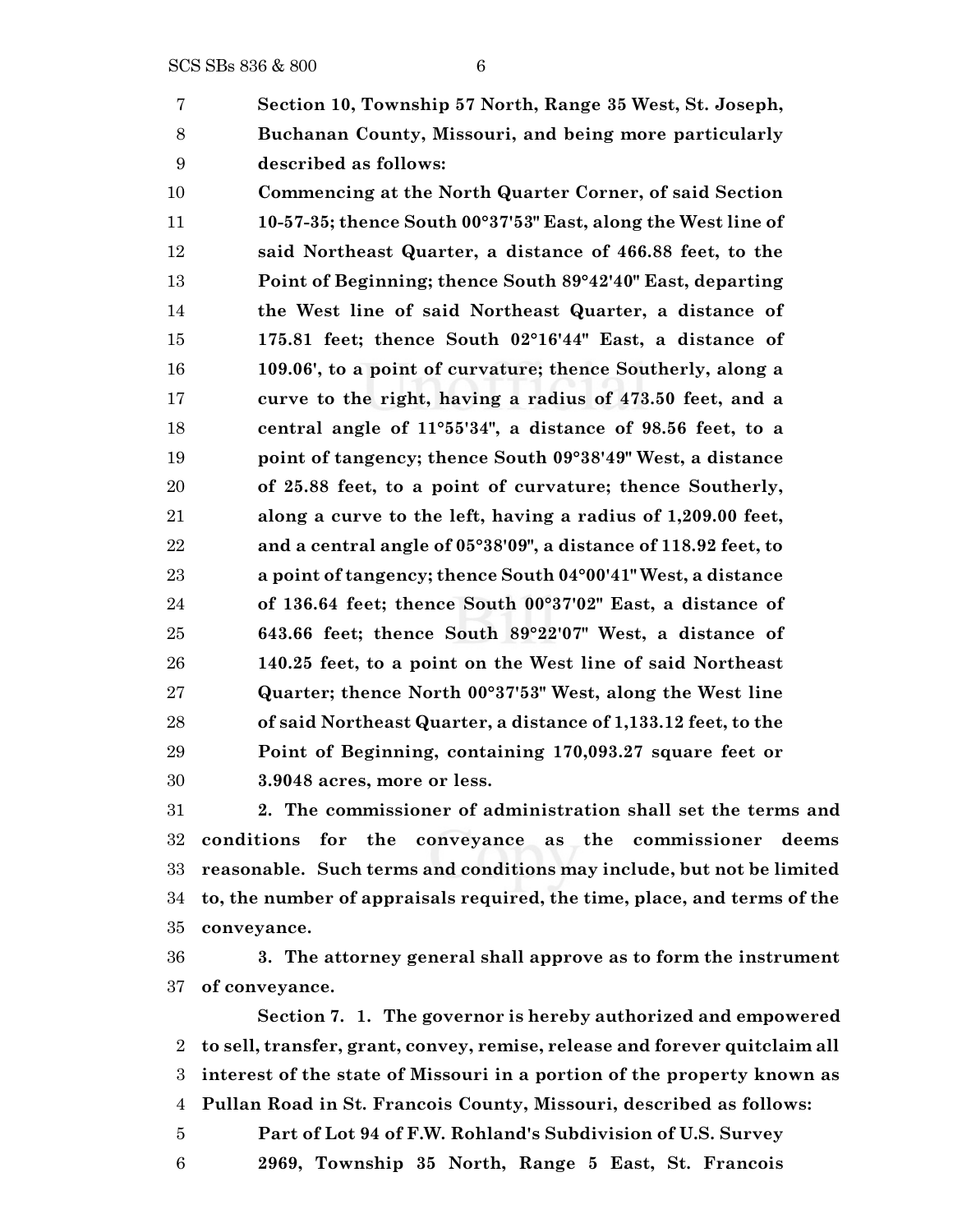**Section 10, Township 57 North, Range 35 West, St. Joseph, Buchanan County, Missouri, and being more particularly described as follows:**

 **Commencing at the North Quarter Corner, of said Section 10-57-35; thence South 00°37'53" East, along the West line of said Northeast Quarter, a distance of 466.88 feet, to the Point of Beginning; thence South 89°42'40" East, departing the West line of said Northeast Quarter, a distance of 175.81 feet; thence South 02°16'44" East, a distance of 109.06', to a point of curvature; thence Southerly, along a curve to the right, having a radius of 473.50 feet, and a central angle of 11°55'34", a distance of 98.56 feet, to a point of tangency; thence South 09°38'49" West, a distance of 25.88 feet, to a point of curvature; thence Southerly, along a curve to the left, having a radius of 1,209.00 feet, and a central angle of 05°38'09", a distance of 118.92 feet, to a point of tangency; thence South 04°00'41" West, a distance of 136.64 feet; thence South 00°37'02" East, a distance of 643.66 feet; thence South 89°22'07" West, a distance of 140.25 feet, to a point on the West line of said Northeast Quarter; thence North 00°37'53" West, along the West line of said Northeast Quarter, a distance of 1,133.12 feet, to the Point of Beginning, containing 170,093.27 square feet or 3.9048 acres, more or less.**

 **2. The commissioner of administration shall set the terms and conditions for the conveyance as the commissioner deems reasonable. Such terms and conditions may include, but not be limited to, the number of appraisals required, the time, place, and terms of the conveyance.**

 **3. The attorney general shall approve as to form the instrument of conveyance.**

**Section 7. 1. The governor is hereby authorized and empowered to sell, transfer, grant, convey, remise, release and forever quitclaim all interest of the state of Missouri in a portion of the property known as Pullan Road in St. Francois County, Missouri, described as follows: Part of Lot 94 of F.W. Rohland's Subdivision of U.S. Survey**

**2969, Township 35 North, Range 5 East, St. Francois**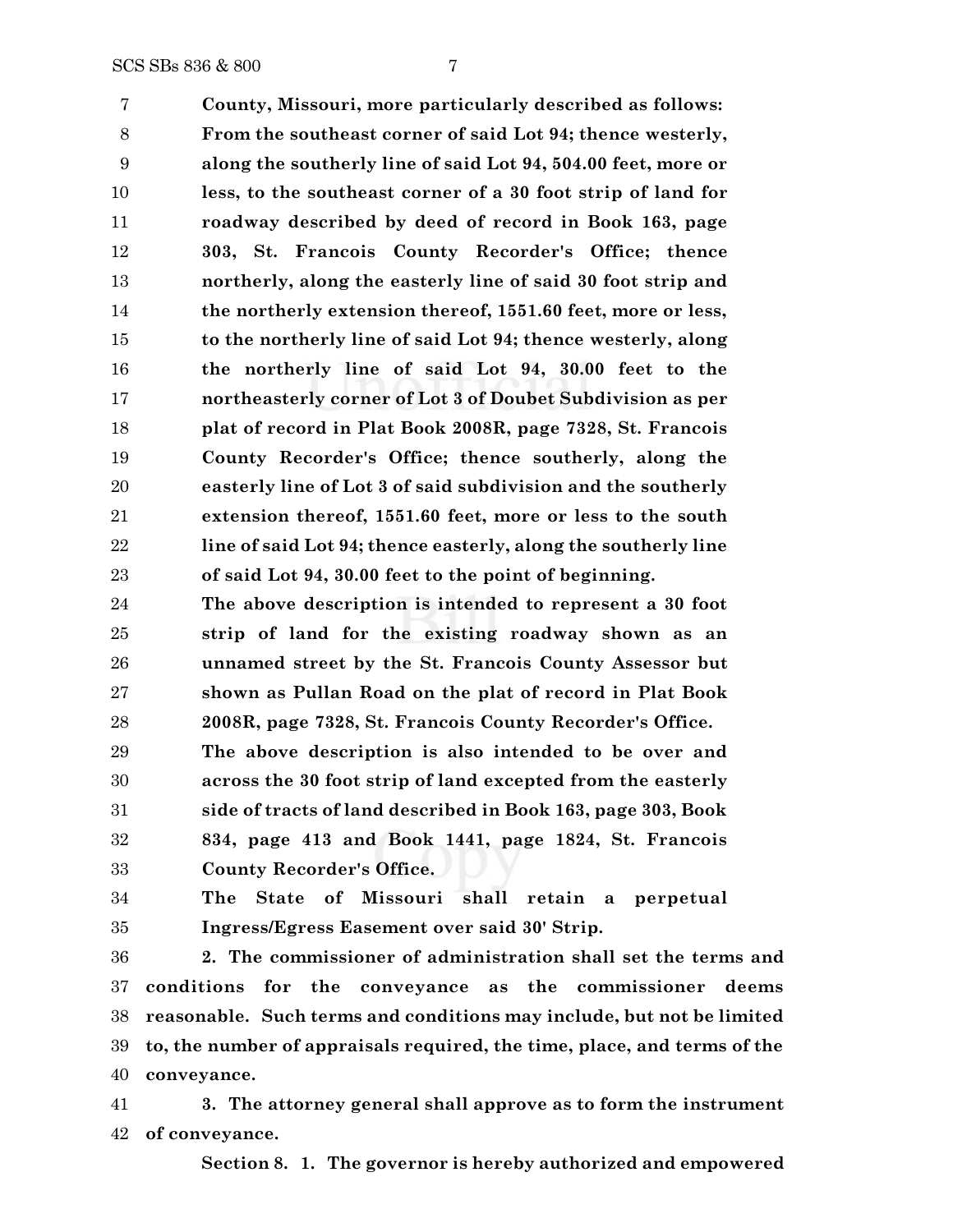**County, Missouri, more particularly described as follows: From the southeast corner of said Lot 94; thence westerly, along the southerly line of said Lot 94, 504.00 feet, more or less, to the southeast corner of a 30 foot strip of land for roadway described by deed of record in Book 163, page 303, St. Francois County Recorder's Office; thence northerly, along the easterly line of said 30 foot strip and the northerly extension thereof, 1551.60 feet, more or less, to the northerly line of said Lot 94; thence westerly, along the northerly line of said Lot 94, 30.00 feet to the northeasterly corner of Lot 3 of Doubet Subdivision as per plat of record in Plat Book 2008R, page 7328, St. Francois County Recorder's Office; thence southerly, along the easterly line of Lot 3 of said subdivision and the southerly extension thereof, 1551.60 feet, more or less to the south line of said Lot 94; thence easterly, along the southerly line of said Lot 94, 30.00 feet to the point of beginning.**

 **The above description is intended to represent a 30 foot strip of land for the existing roadway shown as an unnamed street by the St. Francois County Assessor but shown as Pullan Road on the plat of record in Plat Book 2008R, page 7328, St. Francois County Recorder's Office.**

 **The above description is also intended to be over and across the 30 foot strip of land excepted from the easterly side of tracts of land described in Book 163, page 303, Book 834, page 413 and Book 1441, page 1824, St. Francois County Recorder's Office.**

 **The State of Missouri shall retain a perpetual Ingress/Egress Easement over said 30' Strip.**

 **2. The commissioner of administration shall set the terms and conditions for the conveyance as the commissioner deems reasonable. Such terms and conditions may include, but not be limited to, the number of appraisals required, the time, place, and terms of the conveyance.**

 **3. The attorney general shall approve as to form the instrument of conveyance.**

**Section 8. 1. The governor is hereby authorized and empowered**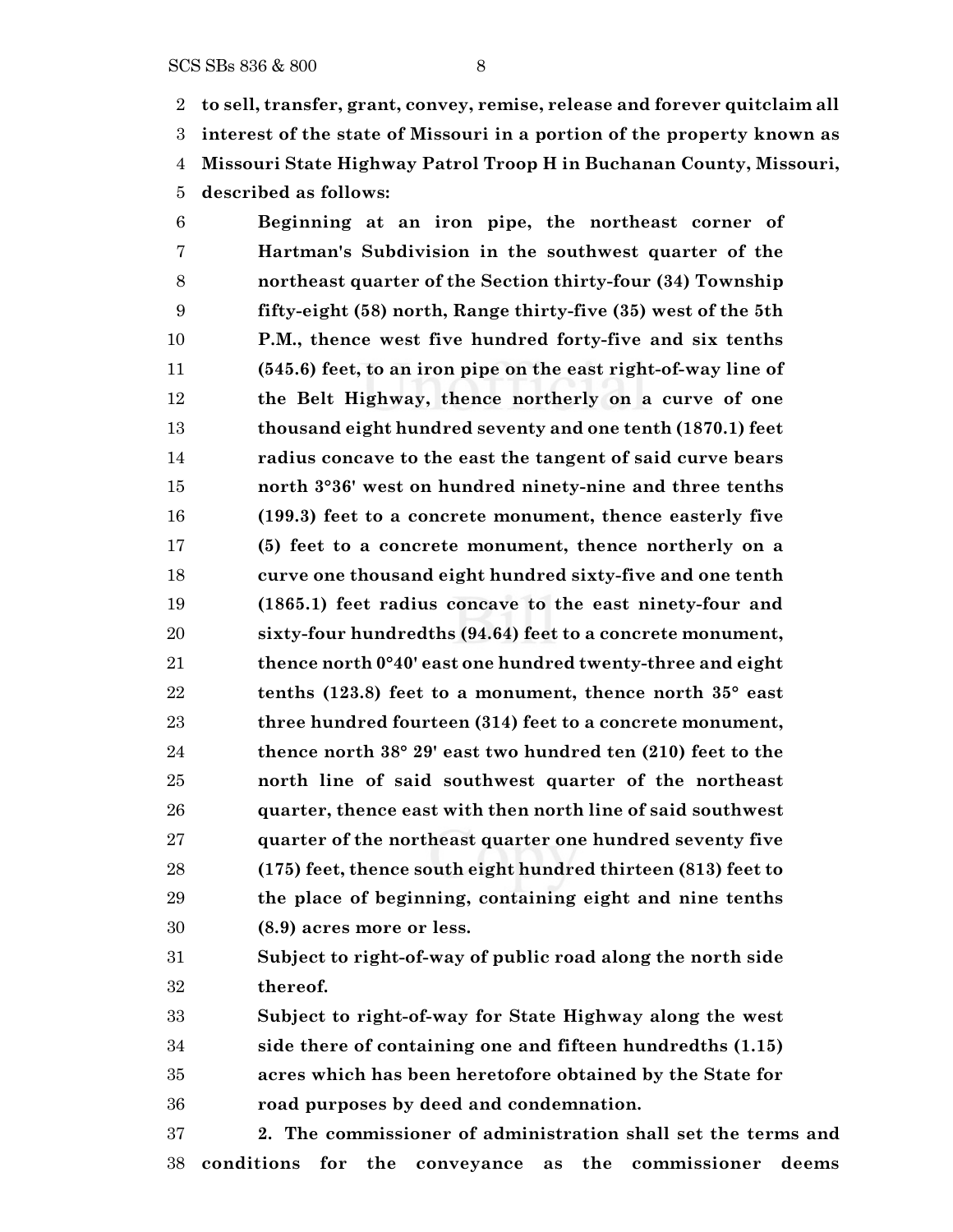**to sell, transfer, grant, convey, remise, release and forever quitclaim all interest of the state of Missouri in a portion of the property known as Missouri State Highway Patrol Troop H in Buchanan County, Missouri, described as follows:**

 **Beginning at an iron pipe, the northeast corner of Hartman's Subdivision in the southwest quarter of the northeast quarter of the Section thirty-four (34) Township fifty-eight (58) north, Range thirty-five (35) west of the 5th P.M., thence west five hundred forty-five and six tenths (545.6) feet, to an iron pipe on the east right-of-way line of the Belt Highway, thence northerly on a curve of one thousand eight hundred seventy and one tenth (1870.1) feet radius concave to the east the tangent of said curve bears north 3°36' west on hundred ninety-nine and three tenths (199.3) feet to a concrete monument, thence easterly five (5) feet to a concrete monument, thence northerly on a curve one thousand eight hundred sixty-five and one tenth (1865.1) feet radius concave to the east ninety-four and sixty-four hundredths (94.64) feet to a concrete monument, thence north 0°40' east one hundred twenty-three and eight tenths (123.8) feet to a monument, thence north 35° east three hundred fourteen (314) feet to a concrete monument, thence north 38° 29' east two hundred ten (210) feet to the north line of said southwest quarter of the northeast quarter, thence east with then north line of said southwest quarter of the northeast quarter one hundred seventy five (175) feet, thence south eight hundred thirteen (813) feet to the place of beginning, containing eight and nine tenths (8.9) acres more or less.**

 **Subject to right-of-way of public road along the north side thereof.**

 **Subject to right-of-way for State Highway along the west side there of containing one and fifteen hundredths (1.15) acres which has been heretofore obtained by the State for road purposes by deed and condemnation.**

 **2. The commissioner of administration shall set the terms and conditions for the conveyance as the commissioner deems**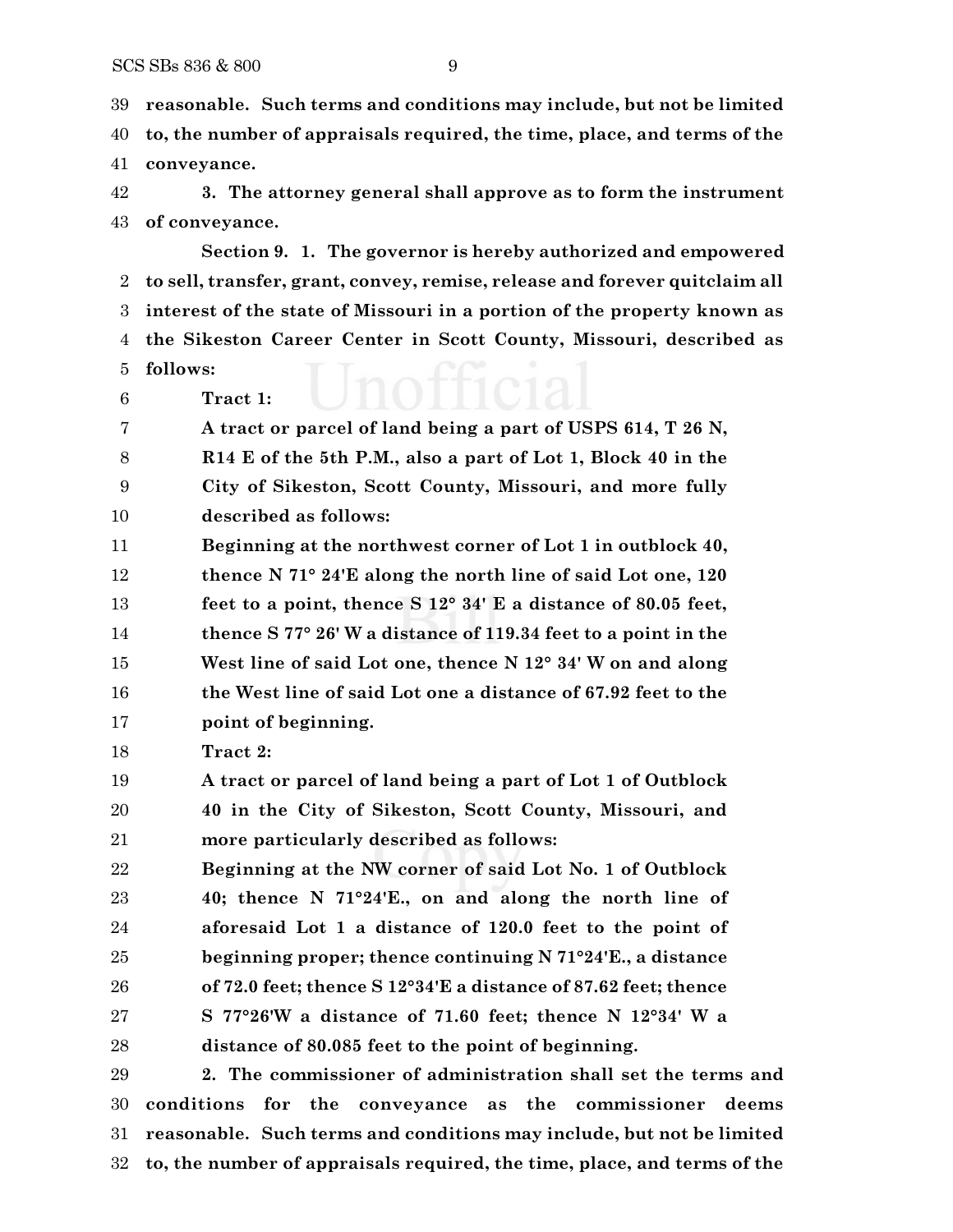**reasonable. Such terms and conditions may include, but not be limited to, the number of appraisals required, the time, place, and terms of the conveyance.**

 **3. The attorney general shall approve as to form the instrument of conveyance.**

**Section 9. 1. The governor is hereby authorized and empowered to sell, transfer, grant, convey, remise, release and forever quitclaim all interest of the state of Missouri in a portion of the property known as the Sikeston Career Center in Scott County, Missouri, described as follows:**

**Tract 1:**

 **A tract or parcel of land being a part of USPS 614, T 26 N, R14 E of the 5th P.M., also a part of Lot 1, Block 40 in the City of Sikeston, Scott County, Missouri, and more fully described as follows:**

 **Beginning at the northwest corner of Lot 1 in outblock 40, thence N 71° 24'E along the north line of said Lot one, 120 feet to a point, thence S 12° 34' E a distance of 80.05 feet, thence S 77° 26' W a distance of 119.34 feet to a point in the West line of said Lot one, thence N 12° 34' W on and along the West line of said Lot one a distance of 67.92 feet to the point of beginning.**

**Tract 2:**

 **A tract or parcel of land being a part of Lot 1 of Outblock 40 in the City of Sikeston, Scott County, Missouri, and more particularly described as follows:**

 **Beginning at the NW corner of said Lot No. 1 of Outblock 40; thence N 71°24'E., on and along the north line of aforesaid Lot 1 a distance of 120.0 feet to the point of beginning proper; thence continuing N 71°24'E., a distance of 72.0 feet; thence S 12°34'E a distance of 87.62 feet; thence S 77°26'W a distance of 71.60 feet; thence N 12°34' W a distance of 80.085 feet to the point of beginning.**

 **2. The commissioner of administration shall set the terms and conditions for the conveyance as the commissioner deems reasonable. Such terms and conditions may include, but not be limited to, the number of appraisals required, the time, place, and terms of the**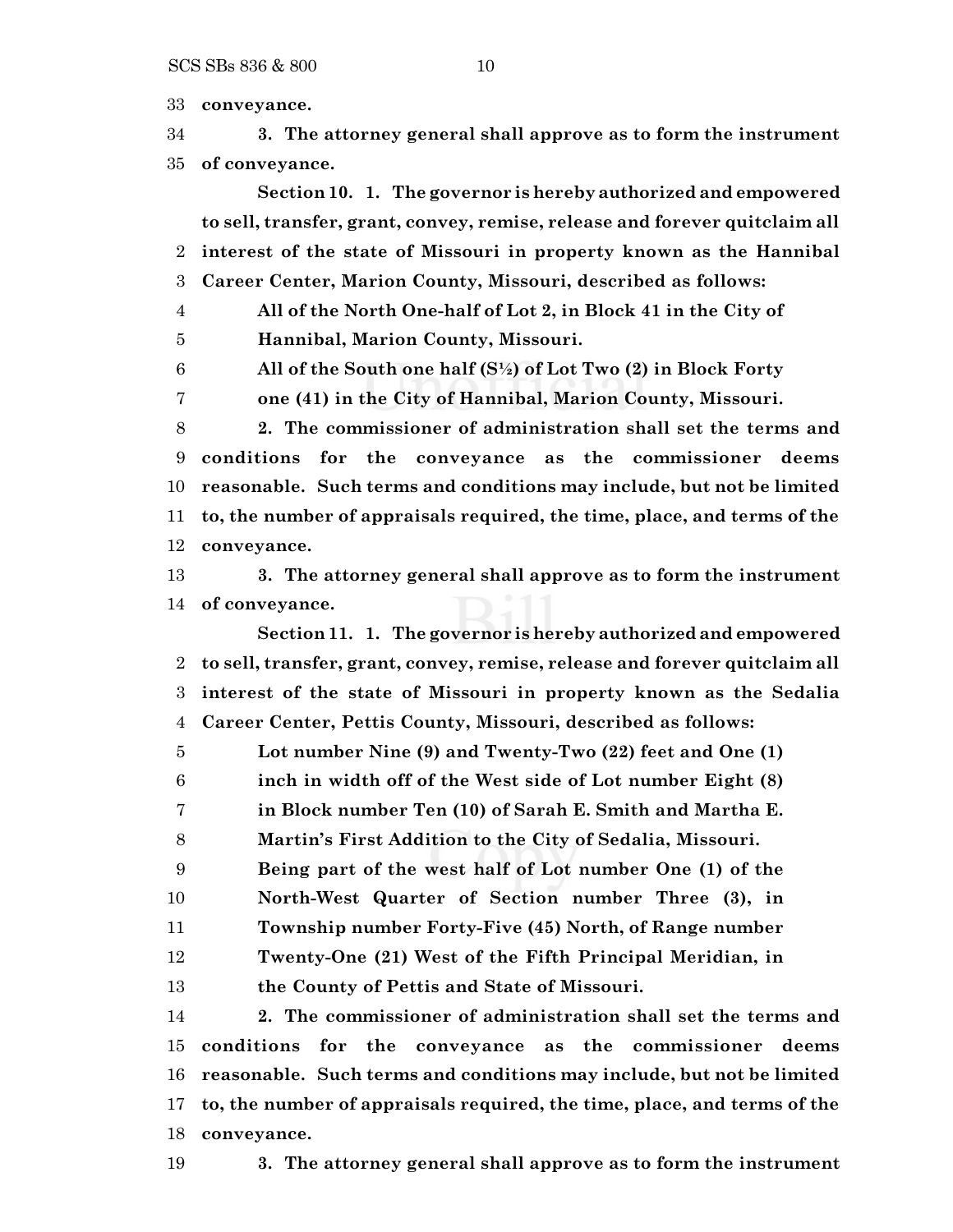**conveyance.**

 **3. The attorney general shall approve as to form the instrument of conveyance.**

**Section 10. 1. The governor is hereby authorized and empowered to sell, transfer, grant, convey, remise, release and forever quitclaim all interest of the state of Missouri in property known as the Hannibal Career Center, Marion County, Missouri, described as follows:**

**All of the North One-half of Lot 2, in Block 41 in the City of**

**Hannibal, Marion County, Missouri.**

**All of the South one half (S½) of Lot Two (2) in Block Forty**

**one (41) in the City of Hannibal, Marion County, Missouri.**

 **2. The commissioner of administration shall set the terms and conditions for the conveyance as the commissioner deems reasonable. Such terms and conditions may include, but not be limited to, the number of appraisals required, the time, place, and terms of the conveyance.**

 **3. The attorney general shall approve as to form the instrument of conveyance.**

**Section 11. 1. The governor is hereby authorized and empowered to sell, transfer, grant, convey, remise, release and forever quitclaim all interest of the state of Missouri in property known as the Sedalia Career Center, Pettis County, Missouri, described as follows:**

**Lot number Nine (9) and Twenty-Two (22) feet and One (1)**

**inch in width off of the West side of Lot number Eight (8)**

**in Block number Ten (10) of Sarah E. Smith and Martha E.**

**Martin's First Addition to the City of Sedalia, Missouri.**

**Being part of the west half of Lot number One (1) of the**

**North-West Quarter of Section number Three (3), in**

**Township number Forty-Five (45) North, of Range number**

**Twenty-One (21) West of the Fifth Principal Meridian, in**

**the County of Pettis and State of Missouri.**

 **2. The commissioner of administration shall set the terms and conditions for the conveyance as the commissioner deems reasonable. Such terms and conditions may include, but not be limited to, the number of appraisals required, the time, place, and terms of the conveyance.**

**3. The attorney general shall approve as to form the instrument**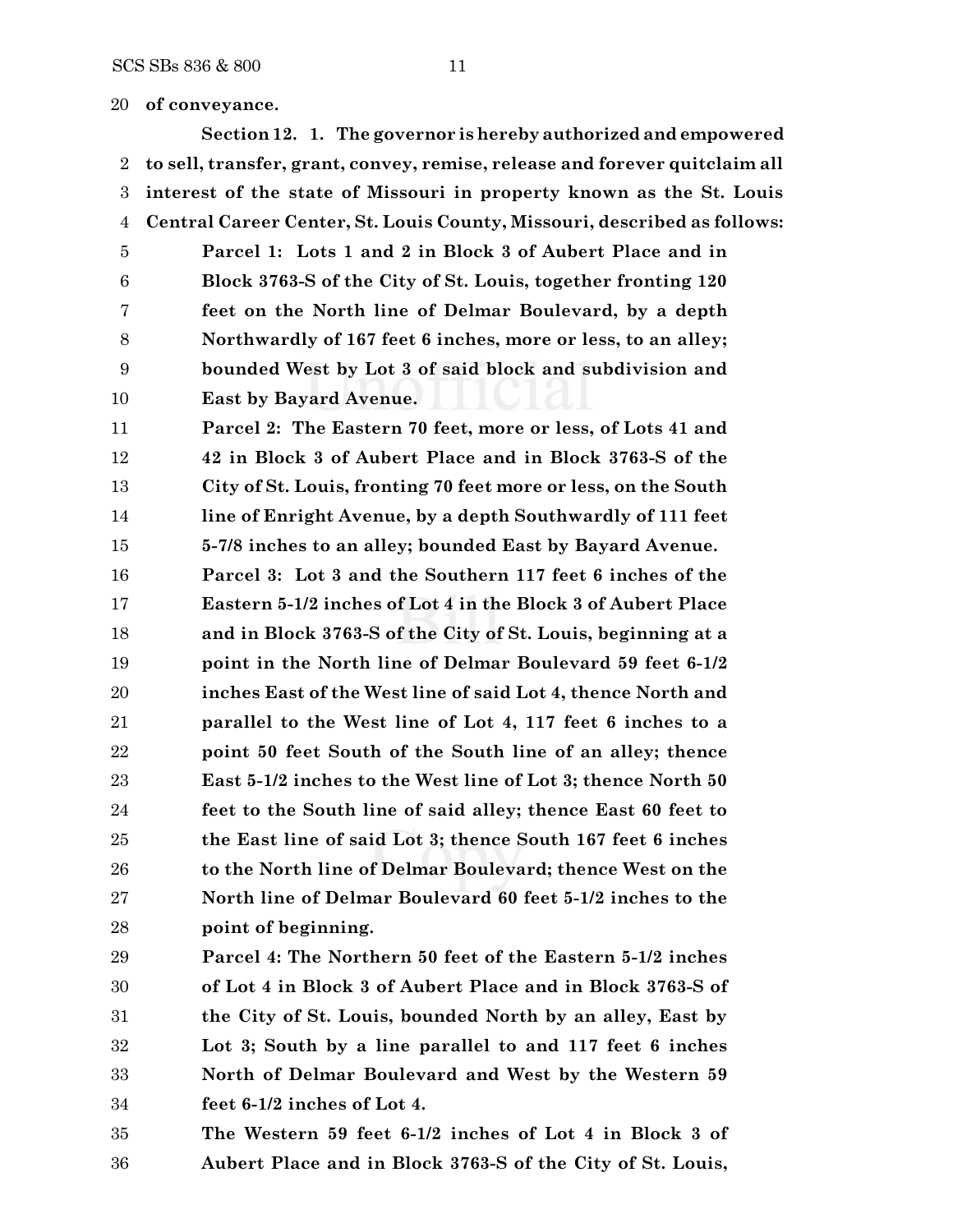### **of conveyance.**

**Section 12. 1. The governor is hereby authorized and empowered to sell, transfer, grant, convey, remise, release and forever quitclaim all interest of the state of Missouri in property known as the St. Louis Central Career Center, St. Louis County, Missouri, described as follows:**

 **Parcel 1: Lots 1 and 2 in Block 3 of Aubert Place and in Block 3763-S of the City of St. Louis, together fronting 120 feet on the North line of Delmar Boulevard, by a depth Northwardly of 167 feet 6 inches, more or less, to an alley; bounded West by Lot 3 of said block and subdivision and East by Bayard Avenue.**

 **Parcel 2: The Eastern 70 feet, more or less, of Lots 41 and 42 in Block 3 of Aubert Place and in Block 3763-S of the City of St. Louis, fronting 70 feet more or less, on the South line of Enright Avenue, by a depth Southwardly of 111 feet 5-7/8 inches to an alley; bounded East by Bayard Avenue.**

 **Parcel 3: Lot 3 and the Southern 117 feet 6 inches of the Eastern 5-1/2 inches of Lot 4 in the Block 3 of Aubert Place and in Block 3763-S of the City of St. Louis, beginning at a point in the North line of Delmar Boulevard 59 feet 6-1/2 inches East of the West line of said Lot 4, thence North and parallel to the West line of Lot 4, 117 feet 6 inches to a point 50 feet South of the South line of an alley; thence East 5-1/2 inches to the West line of Lot 3; thence North 50 feet to the South line of said alley; thence East 60 feet to the East line of said Lot 3; thence South 167 feet 6 inches to the North line of Delmar Boulevard; thence West on the North line of Delmar Boulevard 60 feet 5-1/2 inches to the point of beginning.**

 **Parcel 4: The Northern 50 feet of the Eastern 5-1/2 inches of Lot 4 in Block 3 of Aubert Place and in Block 3763-S of the City of St. Louis, bounded North by an alley, East by Lot 3; South by a line parallel to and 117 feet 6 inches North of Delmar Boulevard and West by the Western 59 feet 6-1/2 inches of Lot 4.**

 **The Western 59 feet 6-1/2 inches of Lot 4 in Block 3 of Aubert Place and in Block 3763-S of the City of St. Louis,**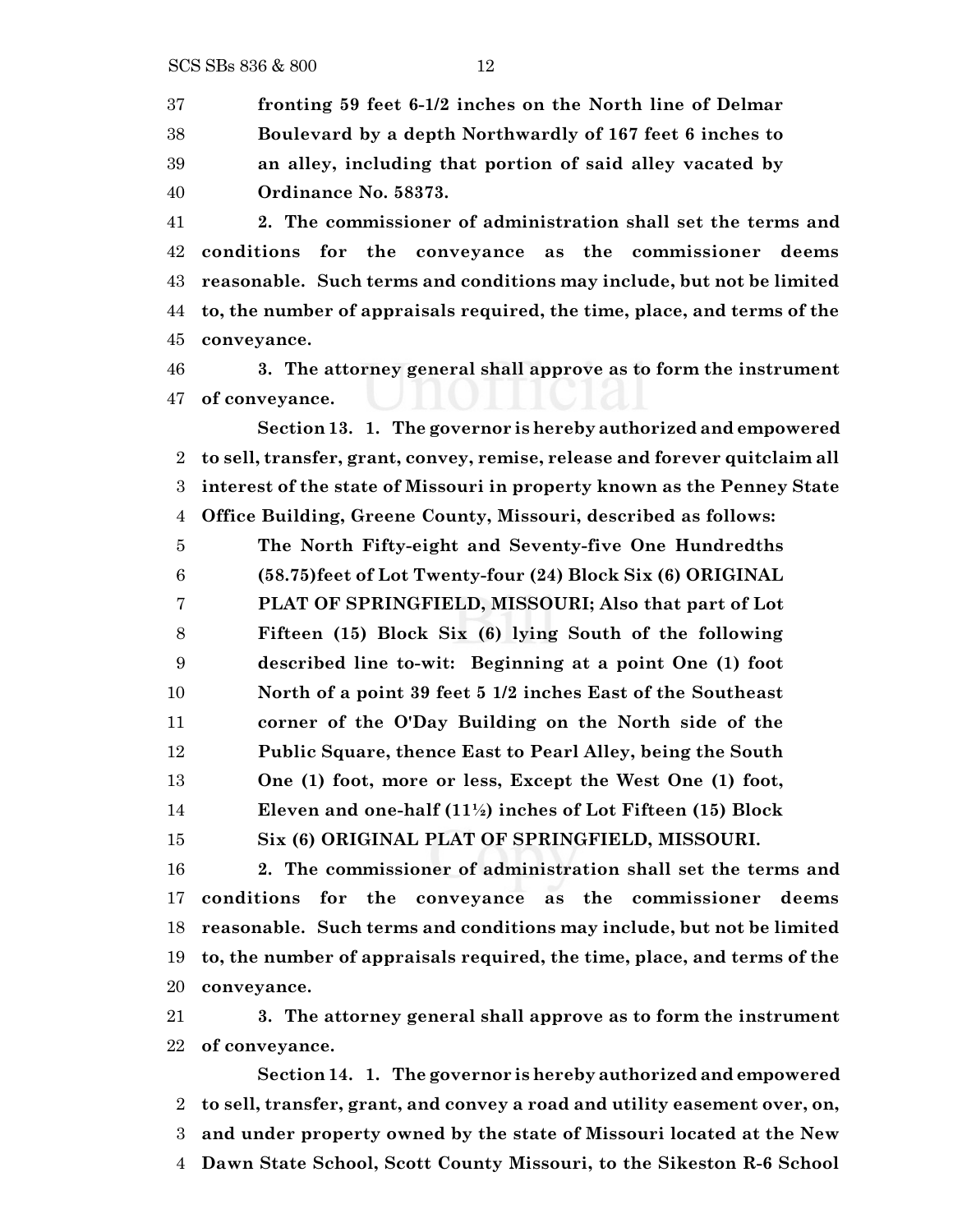SCS SBs 836 & 800 12

 **fronting 59 feet 6-1/2 inches on the North line of Delmar Boulevard by a depth Northwardly of 167 feet 6 inches to an alley, including that portion of said alley vacated by Ordinance No. 58373.**

 **2. The commissioner of administration shall set the terms and conditions for the conveyance as the commissioner deems reasonable. Such terms and conditions may include, but not be limited to, the number of appraisals required, the time, place, and terms of the conveyance.**

 **3. The attorney general shall approve as to form the instrument of conveyance.**

**Section 13. 1. The governor is hereby authorized and empowered to sell, transfer, grant, convey, remise, release and forever quitclaim all interest of the state of Missouri in property known as the Penney State Office Building, Greene County, Missouri, described as follows:**

 **The North Fifty-eight and Seventy-five One Hundredths (58.75)feet of Lot Twenty-four (24) Block Six (6) ORIGINAL PLAT OF SPRINGFIELD, MISSOURI; Also that part of Lot Fifteen (15) Block Six (6) lying South of the following described line to-wit: Beginning at a point One (1) foot North of a point 39 feet 5 1/2 inches East of the Southeast corner of the O'Day Building on the North side of the Public Square, thence East to Pearl Alley, being the South One (1) foot, more or less, Except the West One (1) foot, Eleven and one-half (11½) inches of Lot Fifteen (15) Block Six (6) ORIGINAL PLAT OF SPRINGFIELD, MISSOURI.**

 **2. The commissioner of administration shall set the terms and conditions for the conveyance as the commissioner deems reasonable. Such terms and conditions may include, but not be limited to, the number of appraisals required, the time, place, and terms of the conveyance.**

 **3. The attorney general shall approve as to form the instrument of conveyance.**

**Section 14. 1. The governor is hereby authorized and empowered to sell, transfer, grant, and convey a road and utility easement over, on, and under property owned by the state of Missouri located at the New Dawn State School, Scott County Missouri, to the Sikeston R-6 School**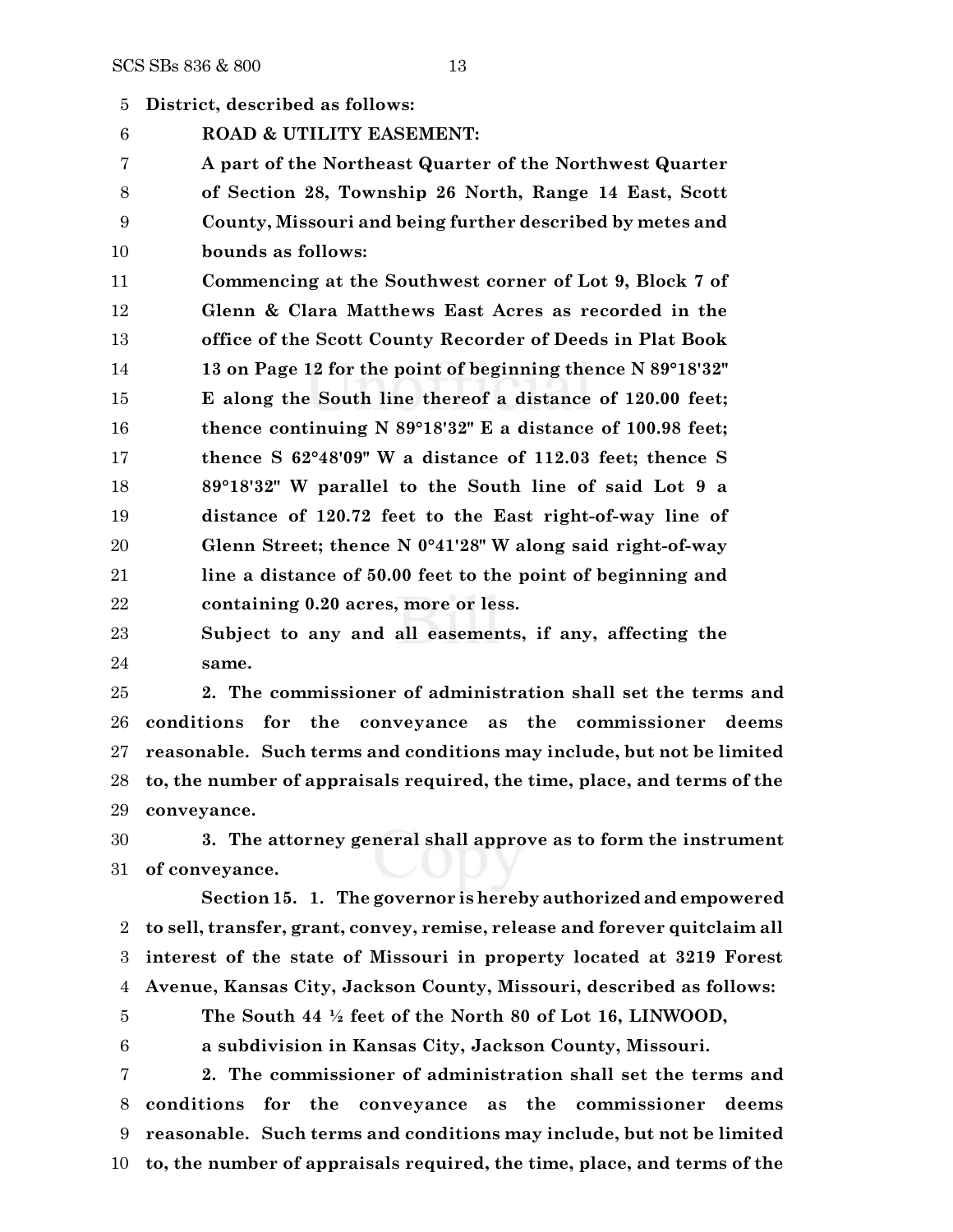**District, described as follows:**

**ROAD & UTILITY EASEMENT:**

 **A part of the Northeast Quarter of the Northwest Quarter of Section 28, Township 26 North, Range 14 East, Scott County, Missouri and being further described by metes and bounds as follows:**

 **Commencing at the Southwest corner of Lot 9, Block 7 of Glenn & Clara Matthews East Acres as recorded in the office of the Scott County Recorder of Deeds in Plat Book 13 on Page 12 for the point of beginning thence N 89°18'32" E along the South line thereof a distance of 120.00 feet; thence continuing N 89°18'32" E a distance of 100.98 feet; thence S 62°48'09" W a distance of 112.03 feet; thence S 89°18'32" W parallel to the South line of said Lot 9 a distance of 120.72 feet to the East right-of-way line of Glenn Street; thence N 0°41'28" W along said right-of-way line a distance of 50.00 feet to the point of beginning and containing 0.20 acres, more or less.**

 **Subject to any and all easements, if any, affecting the same.**

 **2. The commissioner of administration shall set the terms and conditions for the conveyance as the commissioner deems reasonable. Such terms and conditions may include, but not be limited to, the number of appraisals required, the time, place, and terms of the conveyance.**

 **3. The attorney general shall approve as to form the instrument of conveyance.**

**Section 15. 1. The governor is hereby authorized andempowered to sell, transfer, grant, convey, remise, release and forever quitclaim all interest of the state of Missouri in property located at 3219 Forest Avenue, Kansas City, Jackson County, Missouri, described as follows:**

**The South 44 ½ feet of the North 80 of Lot 16, LINWOOD,**

**a subdivision in Kansas City, Jackson County, Missouri.**

 **2. The commissioner of administration shall set the terms and conditions for the conveyance as the commissioner deems reasonable. Such terms and conditions may include, but not be limited to, the number of appraisals required, the time, place, and terms of the**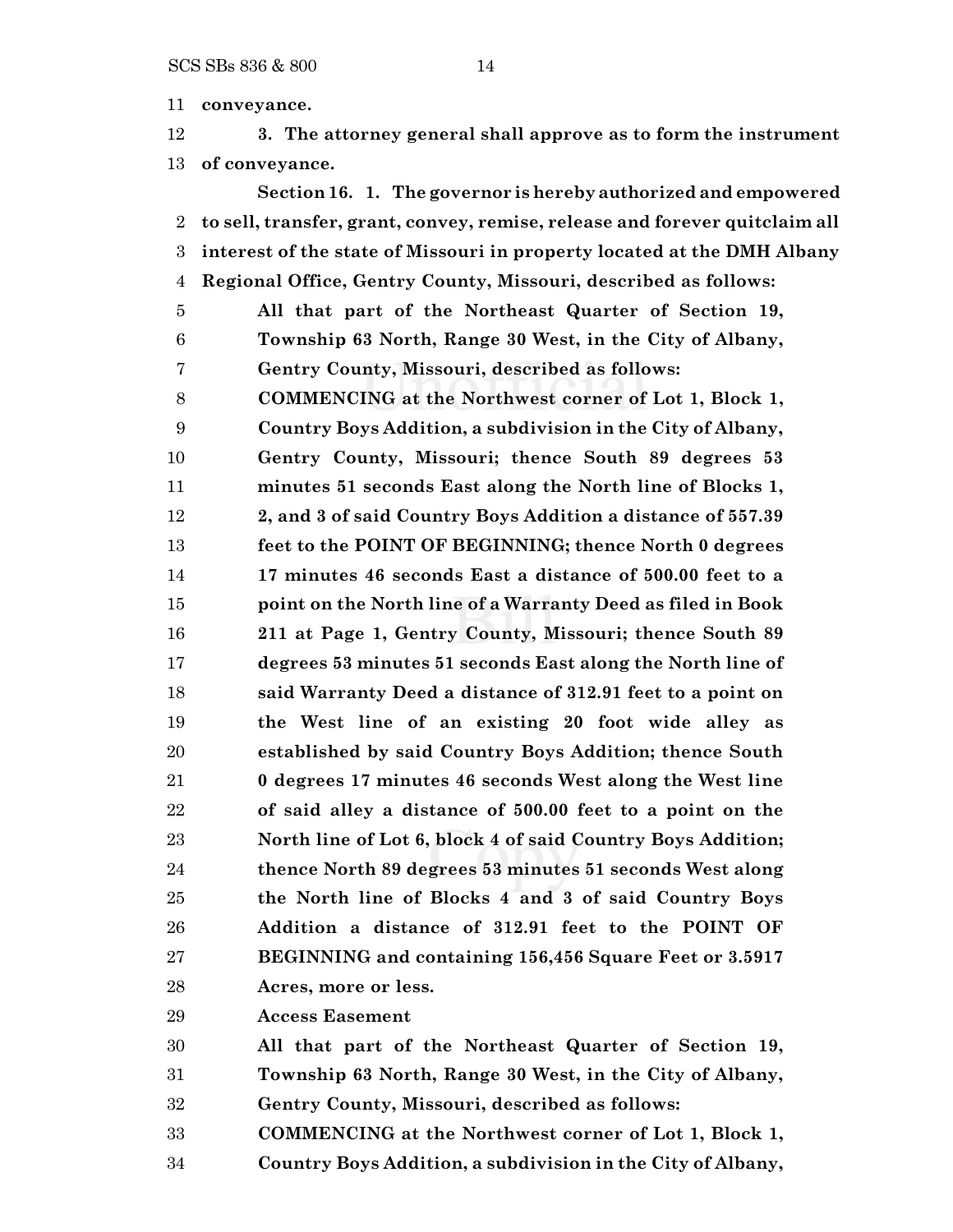**conveyance.**

 **3. The attorney general shall approve as to form the instrument of conveyance.**

**Section 16. 1. The governor is hereby authorized and empowered to sell, transfer, grant, convey, remise, release and forever quitclaim all interest of the state of Missouri in property located at the DMH Albany Regional Office, Gentry County, Missouri, described as follows: All that part of the Northeast Quarter of Section 19, Township 63 North, Range 30 West, in the City of Albany, Gentry County, Missouri, described as follows: COMMENCING at the Northwest corner of Lot 1, Block 1, Country Boys Addition, a subdivision in the City of Albany, Gentry County, Missouri; thence South 89 degrees 53 minutes 51 seconds East along the North line of Blocks 1, 2, and 3 of said Country Boys Addition a distance of 557.39 feet to the POINT OF BEGINNING; thence North 0 degrees 17 minutes 46 seconds East a distance of 500.00 feet to a point on the North line of a Warranty Deed as filed in Book 211 at Page 1, Gentry County, Missouri; thence South 89 degrees 53 minutes 51 seconds East along the North line of said Warranty Deed a distance of 312.91 feet to a point on the West line of an existing 20 foot wide alley as established by said Country Boys Addition; thence South 0 degrees 17 minutes 46 seconds West along the West line of said alley a distance of 500.00 feet to a point on the North line of Lot 6, block 4 of said Country Boys Addition; thence North 89 degrees 53 minutes 51 seconds West along the North line of Blocks 4 and 3 of said Country Boys Addition a distance of 312.91 feet to the POINT OF BEGINNING and containing 156,456 Square Feet or 3.5917 Acres, more or less.**

**Access Easement**

**All that part of the Northeast Quarter of Section 19,**

**Township 63 North, Range 30 West, in the City of Albany,**

**Gentry County, Missouri, described as follows:**

**COMMENCING at the Northwest corner of Lot 1, Block 1,**

**Country Boys Addition, a subdivision in the City of Albany,**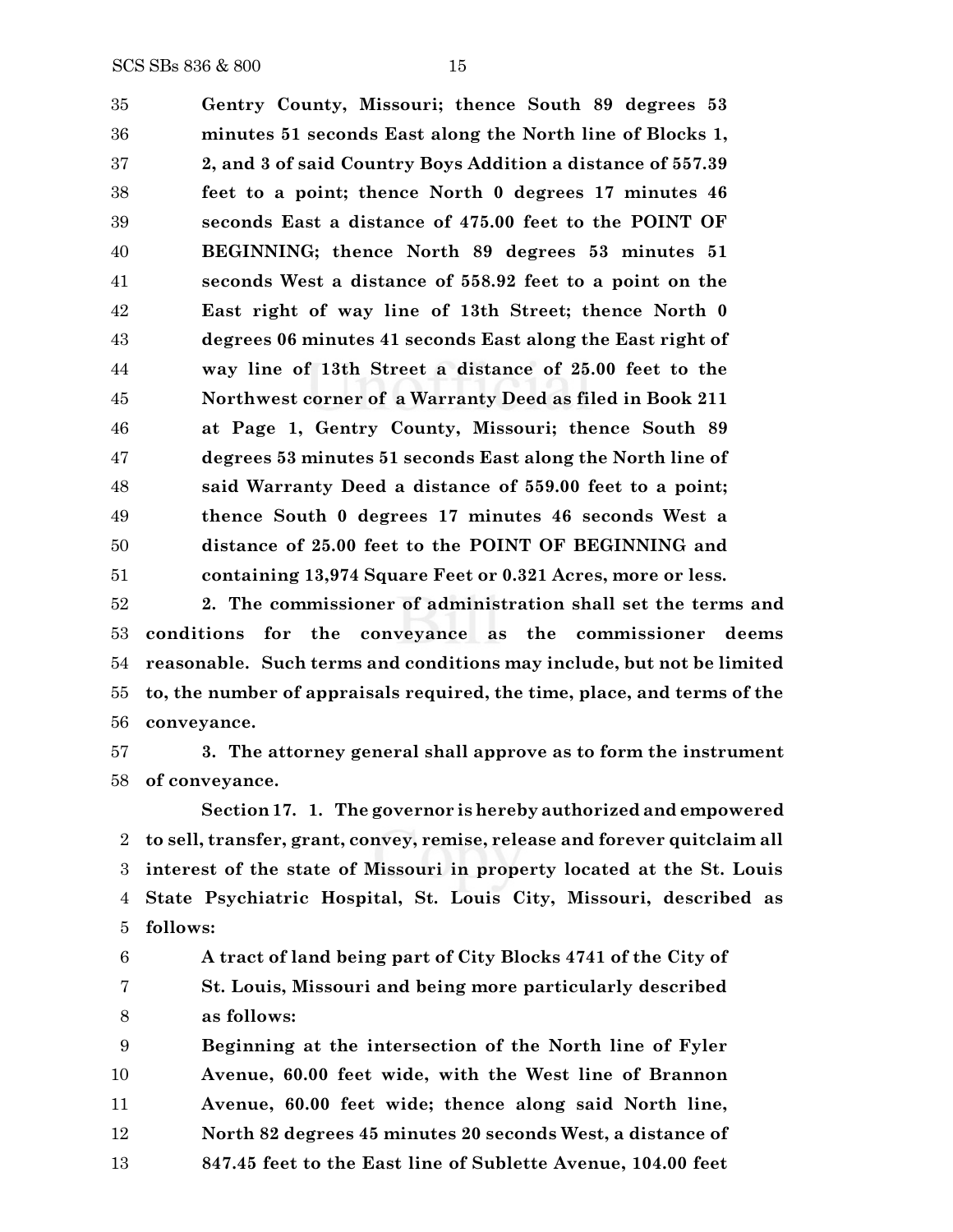**Gentry County, Missouri; thence South 89 degrees 53 minutes 51 seconds East along the North line of Blocks 1, 2, and 3 of said Country Boys Addition a distance of 557.39 feet to a point; thence North 0 degrees 17 minutes 46 seconds East a distance of 475.00 feet to the POINT OF BEGINNING; thence North 89 degrees 53 minutes 51 seconds West a distance of 558.92 feet to a point on the East right of way line of 13th Street; thence North 0 degrees 06 minutes 41 seconds East along the East right of way line of 13th Street a distance of 25.00 feet to the Northwest corner of a Warranty Deed as filed in Book 211 at Page 1, Gentry County, Missouri; thence South 89 degrees 53 minutes 51 seconds East along the North line of said Warranty Deed a distance of 559.00 feet to a point; thence South 0 degrees 17 minutes 46 seconds West a distance of 25.00 feet to the POINT OF BEGINNING and containing 13,974 Square Feet or 0.321 Acres, more or less.**

 **2. The commissioner of administration shall set the terms and conditions for the conveyance as the commissioner deems reasonable. Such terms and conditions may include, but not be limited to, the number of appraisals required, the time, place, and terms of the conveyance.**

 **3. The attorney general shall approve as to form the instrument of conveyance.**

**Section17. 1. The governor is hereby authorized and empowered to sell, transfer, grant, convey, remise, release and forever quitclaim all interest of the state of Missouri in property located at the St. Louis State Psychiatric Hospital, St. Louis City, Missouri, described as follows:**

 **A tract of land being part of City Blocks 4741 of the City of St. Louis, Missouri and being more particularly described as follows:**

 **Beginning at the intersection of the North line of Fyler Avenue, 60.00 feet wide, with the West line of Brannon Avenue, 60.00 feet wide; thence along said North line, North 82 degrees 45 minutes 20 seconds West, a distance of 847.45 feet to the East line of Sublette Avenue, 104.00 feet**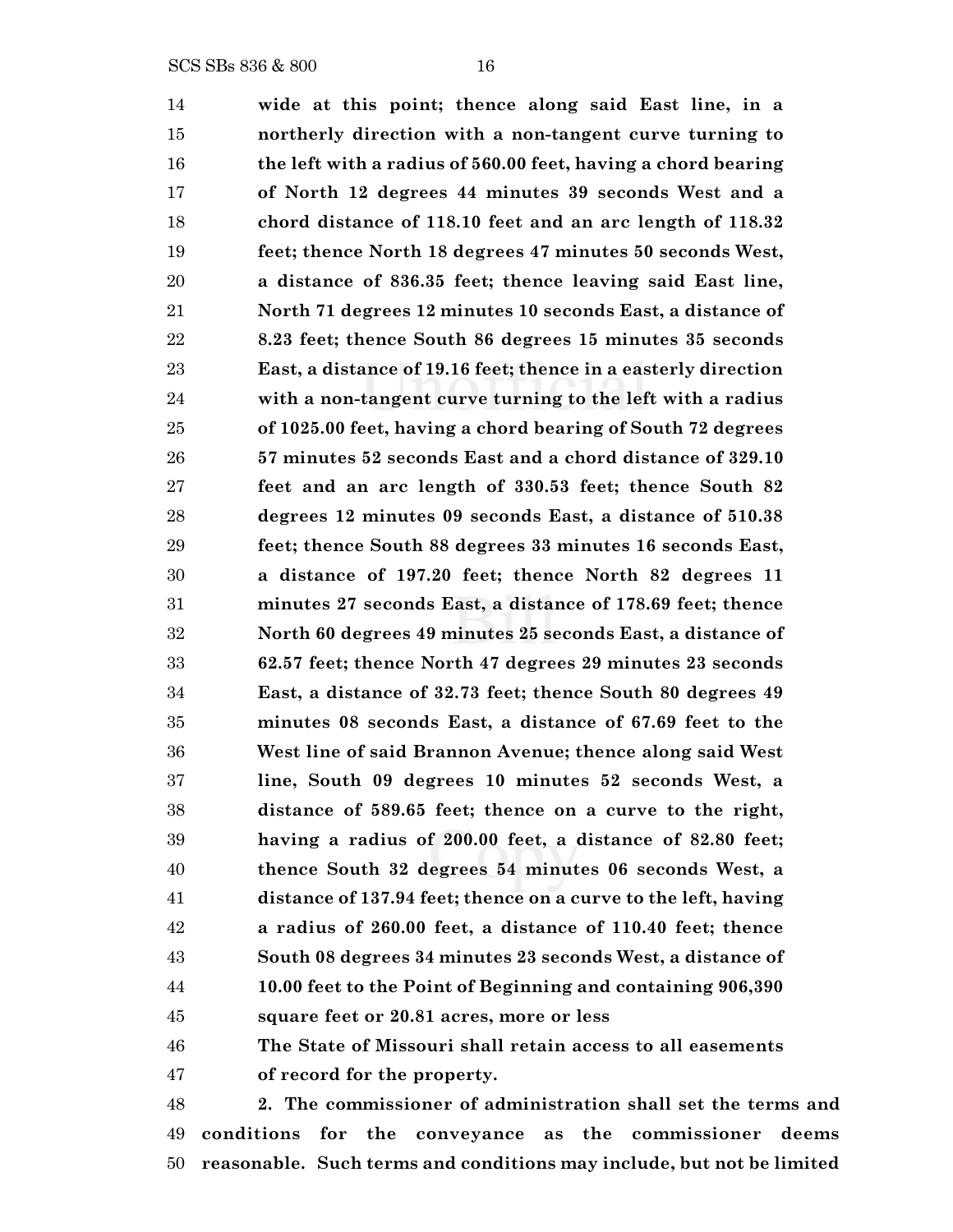**wide at this point; thence along said East line, in a northerly direction with a non-tangent curve turning to the left with a radius of 560.00 feet, having a chord bearing of North 12 degrees 44 minutes 39 seconds West and a chord distance of 118.10 feet and an arc length of 118.32 feet; thence North 18 degrees 47 minutes 50 seconds West, a distance of 836.35 feet; thence leaving said East line, North 71 degrees 12 minutes 10 seconds East, a distance of 8.23 feet; thence South 86 degrees 15 minutes 35 seconds East, a distance of 19.16 feet; thence in a easterly direction with a non-tangent curve turning to the left with a radius of 1025.00 feet, having a chord bearing of South 72 degrees 57 minutes 52 seconds East and a chord distance of 329.10 feet and an arc length of 330.53 feet; thence South 82 degrees 12 minutes 09 seconds East, a distance of 510.38 feet; thence South 88 degrees 33 minutes 16 seconds East, a distance of 197.20 feet; thence North 82 degrees 11 minutes 27 seconds East, a distance of 178.69 feet; thence North 60 degrees 49 minutes 25 seconds East, a distance of 62.57 feet; thence North 47 degrees 29 minutes 23 seconds East, a distance of 32.73 feet; thence South 80 degrees 49 minutes 08 seconds East, a distance of 67.69 feet to the West line of said Brannon Avenue; thence along said West line, South 09 degrees 10 minutes 52 seconds West, a distance of 589.65 feet; thence on a curve to the right, having a radius of 200.00 feet, a distance of 82.80 feet; thence South 32 degrees 54 minutes 06 seconds West, a distance of 137.94 feet; thence on a curve to the left, having a radius of 260.00 feet, a distance of 110.40 feet; thence South 08 degrees 34 minutes 23 seconds West, a distance of 10.00 feet to the Point of Beginning and containing 906,390 square feet or 20.81 acres, more or less The State of Missouri shall retain access to all easements of record for the property. 2. The commissioner of administration shall set the terms and**

 **conditions for the conveyance as the commissioner deems reasonable. Such terms and conditions may include, but not be limited**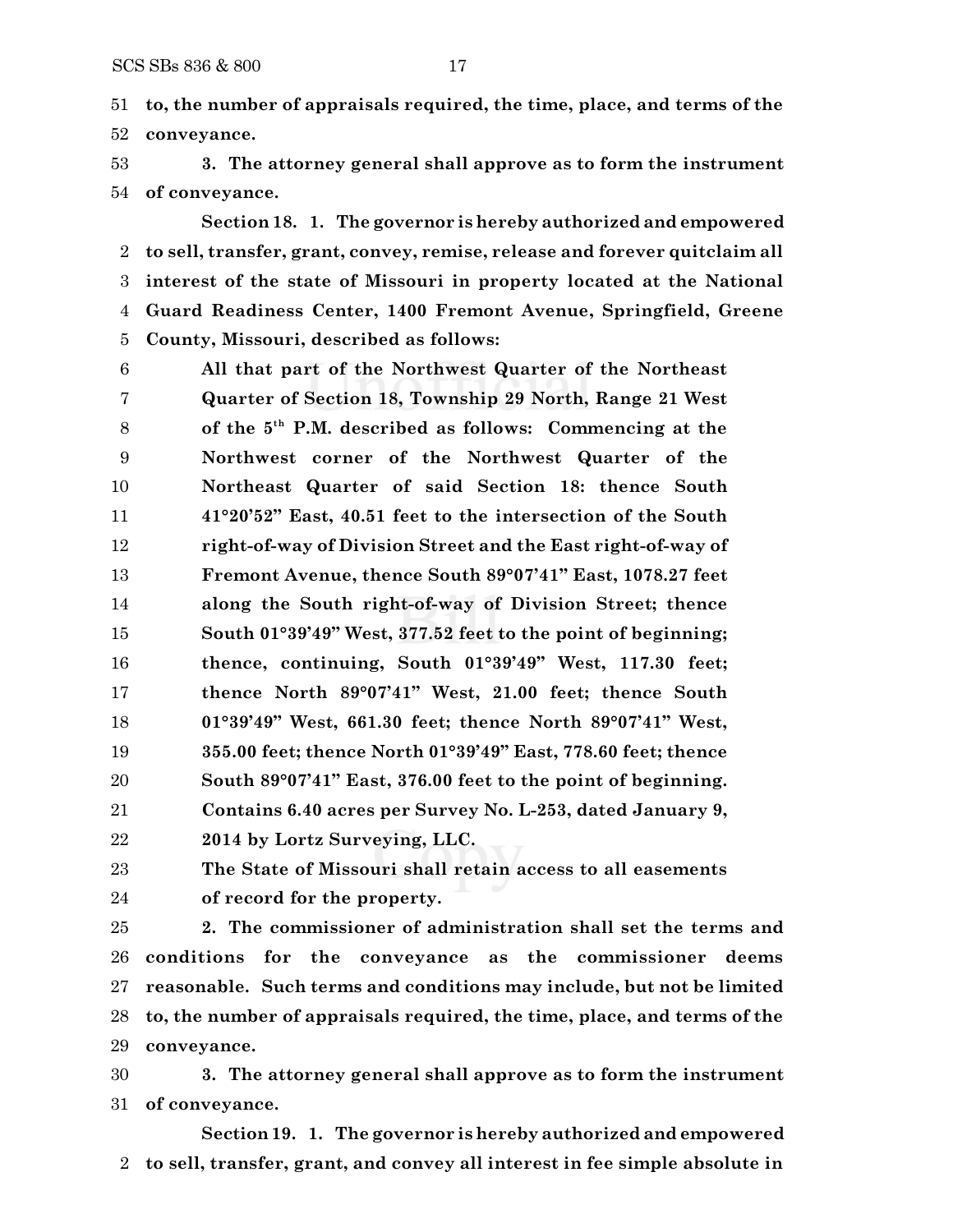**to, the number of appraisals required, the time, place, and terms of the conveyance.**

 **3. The attorney general shall approve as to form the instrument of conveyance.**

**Section 18. 1. The governor is hereby authorized and empowered to sell, transfer, grant, convey, remise, release and forever quitclaim all interest of the state of Missouri in property located at the National Guard Readiness Center, 1400 Fremont Avenue, Springfield, Greene County, Missouri, described as follows:**

 **All that part of the Northwest Quarter of the Northeast Quarter of Section 18, Township 29 North, Range 21 West of the 5 th P.M. described as follows: Commencing at the Northwest corner of the Northwest Quarter of the Northeast Quarter of said Section 18: thence South 41°20'52" East, 40.51 feet to the intersection of the South right-of-way of Division Street and the East right-of-way of Fremont Avenue, thence South 89°07'41" East, 1078.27 feet along the South right-of-way of Division Street; thence South 01°39'49" West, 377.52 feet to the point of beginning; thence, continuing, South 01°39'49" West, 117.30 feet; thence North 89°07'41" West, 21.00 feet; thence South 01°39'49" West, 661.30 feet; thence North 89°07'41" West, 355.00 feet; thence North 01°39'49" East, 778.60 feet; thence South 89°07'41" East, 376.00 feet to the point of beginning. Contains 6.40 acres per Survey No. L-253, dated January 9, 2014 by Lortz Surveying, LLC.**

**The State of Missouri shall retain access to all easements**

**of record for the property.**

 **2. The commissioner of administration shall set the terms and conditions for the conveyance as the commissioner deems reasonable. Such terms and conditions may include, but not be limited to, the number of appraisals required, the time, place, and terms of the conveyance.**

 **3. The attorney general shall approve as to form the instrument of conveyance.**

**Section19. 1. The governor is hereby authorized and empowered to sell, transfer, grant, and convey all interest in fee simple absolute in**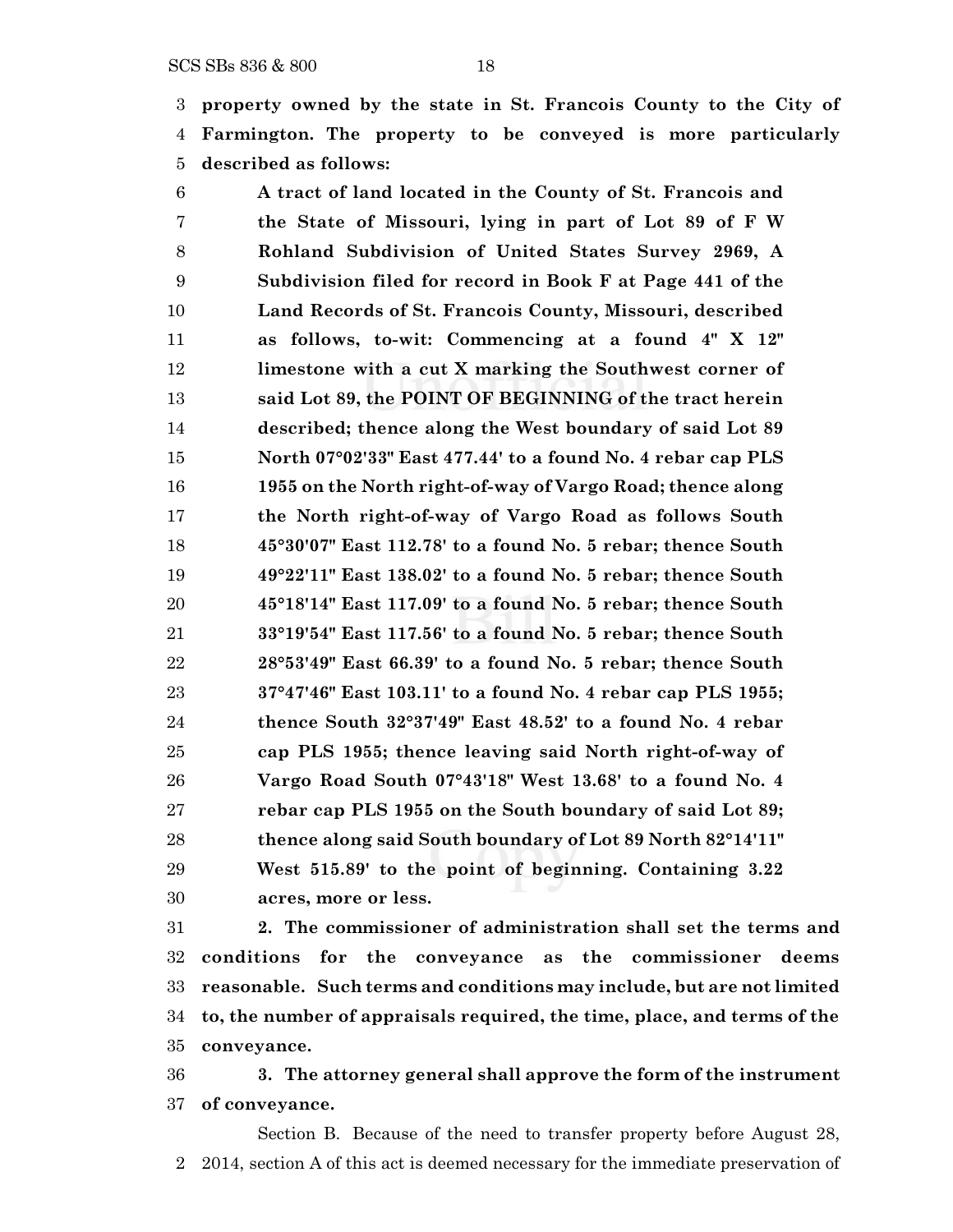**property owned by the state in St. Francois County to the City of Farmington. The property to be conveyed is more particularly described as follows:**

 **A tract of land located in the County of St. Francois and the State of Missouri, lying in part of Lot 89 of F W Rohland Subdivision of United States Survey 2969, A Subdivision filed for record in Book F at Page 441 of the Land Records of St. Francois County, Missouri, described as follows, to-wit: Commencing at a found 4" X 12" limestone with a cut X marking the Southwest corner of said Lot 89, the POINT OF BEGINNING of the tract herein described; thence along the West boundary of said Lot 89 North 07°02'33" East 477.44' to a found No. 4 rebar cap PLS 1955 on the North right-of-way of Vargo Road; thence along the North right-of-way of Vargo Road as follows South 45°30'07" East 112.78' to a found No. 5 rebar; thence South 49°22'11" East 138.02' to a found No. 5 rebar; thence South 45°18'14" East 117.09' to a found No. 5 rebar; thence South 33°19'54" East 117.56' to a found No. 5 rebar; thence South 28°53'49" East 66.39' to a found No. 5 rebar; thence South 37°47'46" East 103.11' to a found No. 4 rebar cap PLS 1955; thence South 32°37'49" East 48.52' to a found No. 4 rebar cap PLS 1955; thence leaving said North right-of-way of Vargo Road South 07°43'18" West 13.68' to a found No. 4 rebar cap PLS 1955 on the South boundary of said Lot 89; thence along said South boundary of Lot 89 North 82°14'11" West 515.89' to the point of beginning. Containing 3.22 acres, more or less.**

 **2. The commissioner of administration shall set the terms and conditions for the conveyance as the commissioner deems reasonable. Such terms and conditions may include, but are not limited to, the number of appraisals required, the time, place, and terms of the conveyance.**

 **3. The attorney general shall approve the form of the instrument of conveyance.**

Section B. Because of the need to transfer property before August 28, 2014, section A of this act is deemed necessary for the immediate preservation of